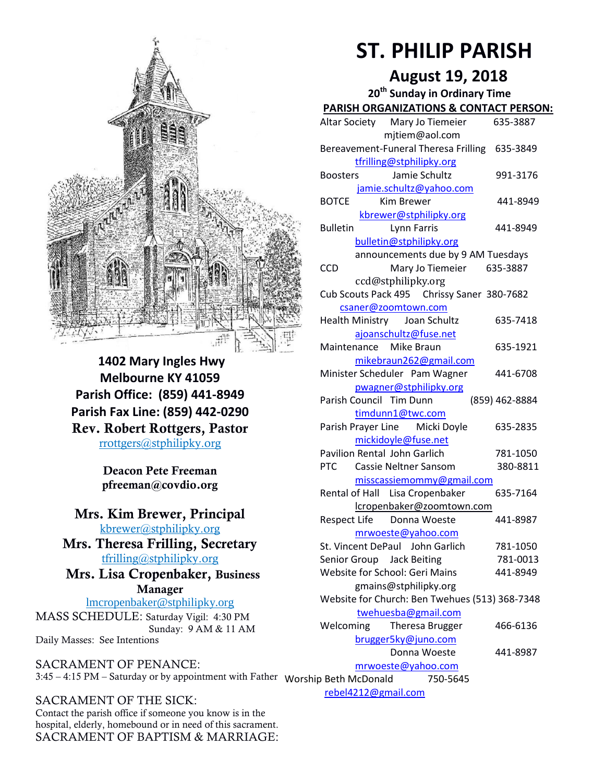

**1402 Mary Ingles Hwy Melbourne KY 41059 Parish Office: (859) 441-8949 Parish Fax Line: (859) 442-0290 Rev. Robert Rottgers, Pastor**  [rrottgers@stphilipky.org](mailto:rrottgers@stphilipky.org)

> **Deacon Pete Freeman pfreeman@covdio.org**

**Mrs. Kim Brewer, Principal**  [kbrewer@stphilipky.org](mailto:kbrewer@stphilipky.org)

**Mrs. Theresa Frilling, Secretary**  [tfrilling@stphilipky.org](mailto:tfrilling@stphilipky.org)

 **Mrs. Lisa Cropenbaker, Business Manager** 

lmcropenbaker@stphilipky.org MASS SCHEDULE: Saturday Vigil: 4:30 PM Sunday: 9 AM & 11 AM Daily Masses: See Intentions

SACRAMENT OF PENANCE: 3:45 – 4:15 PM – Saturday or by appointment with Father Worship Beth McDonald 750-5645

SACRAMENT OF THE SICK: Contact the parish office if someone you know is in the hospital, elderly, homebound or in need of this sacrament. SACRAMENT OF BAPTISM & MARRIAGE:

# **ST. PHILIP PARISH**

# **August 19, 2018**

**20th Sunday in Ordinary Time**

| <b>PARISH ORGANIZATIONS &amp; CONTACT PERSON:</b> |                |
|---------------------------------------------------|----------------|
| Altar Society Mary Jo Tiemeier                    | 635-3887       |
| mjtiem@aol.com                                    |                |
| Bereavement-Funeral Theresa Frilling 635-3849     |                |
| tfrilling@stphilipky.org                          |                |
| Jamie Schultz<br><b>Boosters</b>                  | 991-3176       |
| jamie.schultz@yahoo.com                           |                |
| <b>BOTCE</b><br><b>Kim Brewer</b>                 | 441-8949       |
| kbrewer@stphilipky.org                            |                |
| <b>Lynn Farris</b><br><b>Bulletin</b>             | 441-8949       |
| bulletin@stphilipky.org                           |                |
| announcements due by 9 AM Tuesdays                |                |
| Mary Jo Tiemeier 635-3887<br><b>CCD</b>           |                |
| ccd@stphilipky.org                                |                |
| Cub Scouts Pack 495 Chrissy Saner 380-7682        |                |
| csaner@zoomtown.com                               |                |
| Health Ministry Joan Schultz                      | 635-7418       |
| ajoanschultz@fuse.net                             |                |
| Maintenance Mike Braun                            | 635-1921       |
| mikebraun262@gmail.com                            |                |
| Minister Scheduler Pam Wagner                     | 441-6708       |
| pwagner@stphilipky.org                            |                |
| Parish Council Tim Dunn                           | (859) 462-8884 |
| timdunn1@twc.com                                  |                |
| Parish Prayer Line Micki Doyle                    | 635-2835       |
| mickidoyle@fuse.net                               |                |
| <b>Pavilion Rental John Garlich</b>               | 781-1050       |
| <b>PTC</b><br>Cassie Neltner Sansom               | 380-8811       |
| misscassiemommy@gmail.com                         |                |
| Rental of Hall Lisa Cropenbaker                   | 635-7164       |
| lcropenbaker@zoomtown.com                         |                |
| Respect Life Donna Woeste                         | 441-8987       |
| mrwoeste@yahoo.com                                |                |
| St. Vincent DePaul John Garlich                   | 781-1050       |
| Senior Group Jack Beiting                         | 781-0013       |
| Website for School: Geri Mains                    | 441-8949       |
| gmains@stphilipky.org                             |                |
| Website for Church: Ben Twehues (513) 368-7348    |                |
| twehuesba@gmail.com                               |                |
| Theresa Brugger<br>Welcoming                      | 466-6136       |
| brugger5ky@juno.com                               |                |
| Donna Woeste                                      | 441-8987       |
| mrwoeste@yahoo.com                                |                |
| 750-5645<br>ip Beth McDonald                      |                |
| rebel4212@gmail.com                               |                |
|                                                   |                |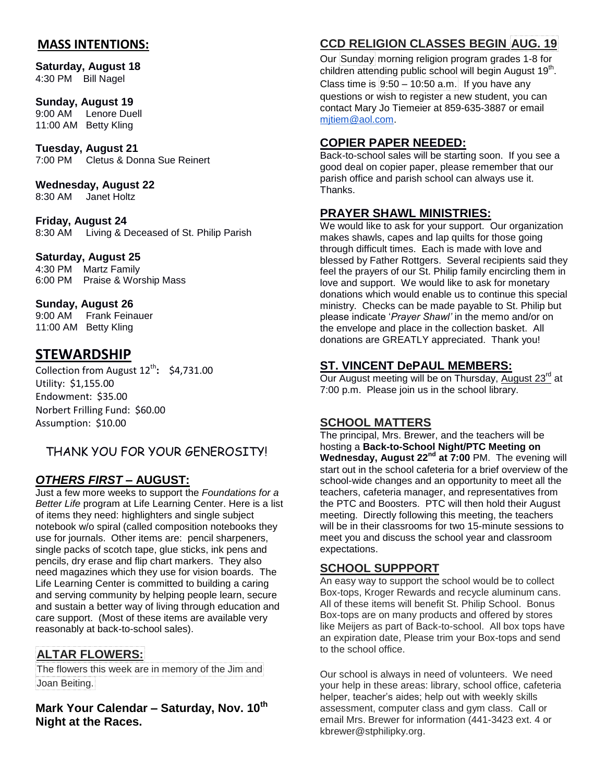# **MASS INTENTIONS:**

**Saturday, August 18**  4:30 PM Bill Nagel

#### **Sunday, August 19**

9:00 AM Lenore Duell 11:00 AM Betty Kling

**Tuesday, August 21** 7:00 PM Cletus & Donna Sue Reinert

**Wednesday, August 22** 8:30 AM Janet Holtz

**Friday, August 24** 8:30 AM Living & Deceased of St. Philip Parish

#### **Saturday, August 25**

4:30 PM Martz Family 6:00 PM Praise & Worship Mass

#### **Sunday, August 26**

9:00 AM Frank Feinauer 11:00 AM Betty Kling

# **STEWARDSHIP**

Collection from August 12<sup>th</sup>: \$4,731.00 Utility: \$1,155.00 Endowment: \$35.00 Norbert Frilling Fund: \$60.00 Assumption: \$10.00

# THANK YOU FOR YOUR GENEROSITY!

# *OTHERS FIRST* **– AUGUST:**

Just a few more weeks to support the *Foundations for a Better Life* program at Life Learning Center. Here is a list of items they need: highlighters and single subject notebook w/o spiral (called composition notebooks they use for journals. Other items are: pencil sharpeners, single packs of scotch tape, glue sticks, ink pens and pencils, dry erase and flip chart markers. They also need magazines which they use for vision boards. The Life Learning Center is committed to building a caring and serving community by helping people learn, secure and sustain a better way of living through education and care support. (Most of these items are available very reasonably at back-to-school sales).

# **ALTAR FLOWERS:**

The flowers this week are in memory of the Jim and Joan Beiting.

**Mark Your Calendar – Saturday, Nov. 10th Night at the Races.**

# **CCD RELIGION CLASSES BEGIN AUG. 19**

Our Sunday morning religion program grades 1-8 for children attending public school will begin August 19<sup>th</sup>. Class time is  $9:50 - 10:50$  a.m. If you have any questions or wish to register a new student, you can contact Mary Jo Tiemeier at 859-635-3887 or email [mjtiem@aol.com.](mailto:mjtiem@aol.com)

# **COPIER PAPER NEEDED:**

Back-to-school sales will be starting soon. If you see a good deal on copier paper, please remember that our parish office and parish school can always use it. Thanks.

## **PRAYER SHAWL MINISTRIES:**

We would like to ask for your support. Our organization makes shawls, capes and lap quilts for those going through difficult times. Each is made with love and blessed by Father Rottgers. Several recipients said they feel the prayers of our St. Philip family encircling them in love and support. We would like to ask for monetary donations which would enable us to continue this special ministry. Checks can be made payable to St. Philip but please indicate '*Prayer Shawl'* in the memo and/or on the envelope and place in the collection basket. All donations are GREATLY appreciated. Thank you!

## **ST. VINCENT DePAUL MEMBERS:**

Our August meeting will be on Thursday, August  $23^{\text{rd}}$  at 7:00 p.m. Please join us in the school library.

#### **SCHOOL MATTERS**

The principal, Mrs. Brewer, and the teachers will be hosting a **Back-to-School Night/PTC Meeting on Wednesday, August 22nd at 7:00** PM. The evening will start out in the school cafeteria for a brief overview of the school-wide changes and an opportunity to meet all the teachers, cafeteria manager, and representatives from the PTC and Boosters. PTC will then hold their August meeting. Directly following this meeting, the teachers will be in their classrooms for two 15-minute sessions to meet you and discuss the school year and classroom expectations.

#### **SCHOOL SUPPPORT**

An easy way to support the school would be to collect Box-tops, Kroger Rewards and recycle aluminum cans. All of these items will benefit St. Philip School. Bonus Box-tops are on many products and offered by stores like Meijers as part of Back-to-school. All box tops have an expiration date, Please trim your Box-tops and send to the school office.

Our school is always in need of volunteers. We need your help in these areas: library, school office, cafeteria helper, teacher's aides; help out with weekly skills assessment, computer class and gym class. Call or email Mrs. Brewer for information (441-3423 ext. 4 or kbrewer@stphilipky.org.